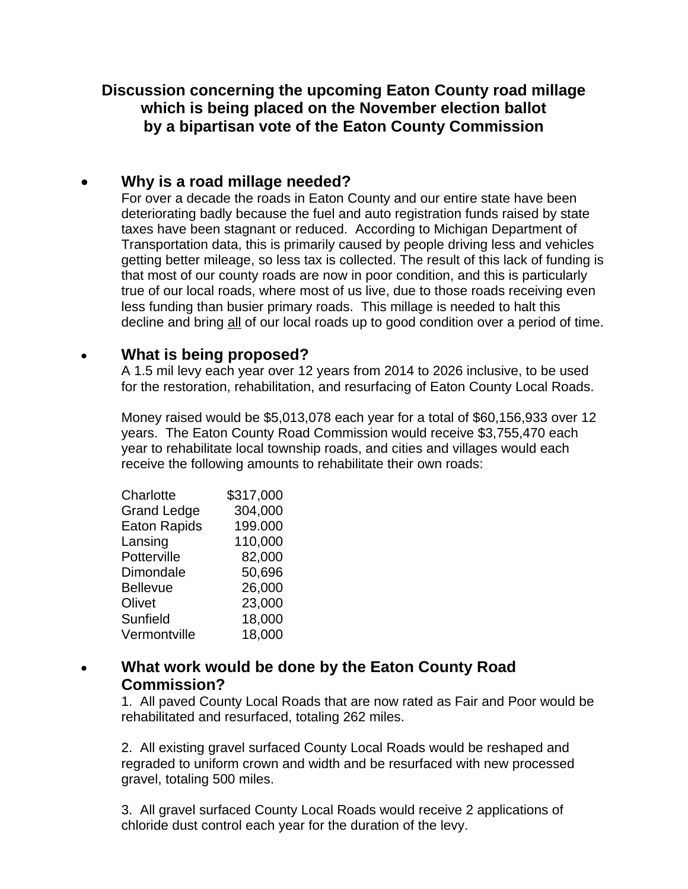## **Discussion concerning the upcoming Eaton County road millage which is being placed on the November election ballot by a bipartisan vote of the Eaton County Commission**

# **Why is a road millage needed?**

For over a decade the roads in Eaton County and our entire state have been deteriorating badly because the fuel and auto registration funds raised by state taxes have been stagnant or reduced. According to Michigan Department of Transportation data, this is primarily caused by people driving less and vehicles getting better mileage, so less tax is collected. The result of this lack of funding is that most of our county roads are now in poor condition, and this is particularly true of our local roads, where most of us live, due to those roads receiving even less funding than busier primary roads. This millage is needed to halt this decline and bring all of our local roads up to good condition over a period of time.

#### **What is being proposed?**

A 1.5 mil levy each year over 12 years from 2014 to 2026 inclusive, to be used for the restoration, rehabilitation, and resurfacing of Eaton County Local Roads.

Money raised would be \$5,013,078 each year for a total of \$60,156,933 over 12 years. The Eaton County Road Commission would receive \$3,755,470 each year to rehabilitate local township roads, and cities and villages would each receive the following amounts to rehabilitate their own roads:

| Charlotte           | \$317,000 |
|---------------------|-----------|
| <b>Grand Ledge</b>  | 304,000   |
| <b>Eaton Rapids</b> | 199.000   |
| Lansing             | 110,000   |
| Potterville         | 82,000    |
| Dimondale           | 50,696    |
| <b>Bellevue</b>     | 26,000    |
| Olivet              | 23,000    |
| Sunfield            | 18,000    |
| Vermontville        | 18,000    |

## **What work would be done by the Eaton County Road Commission?**

1. All paved County Local Roads that are now rated as Fair and Poor would be rehabilitated and resurfaced, totaling 262 miles.

2. All existing gravel surfaced County Local Roads would be reshaped and regraded to uniform crown and width and be resurfaced with new processed gravel, totaling 500 miles.

3. All gravel surfaced County Local Roads would receive 2 applications of chloride dust control each year for the duration of the levy.